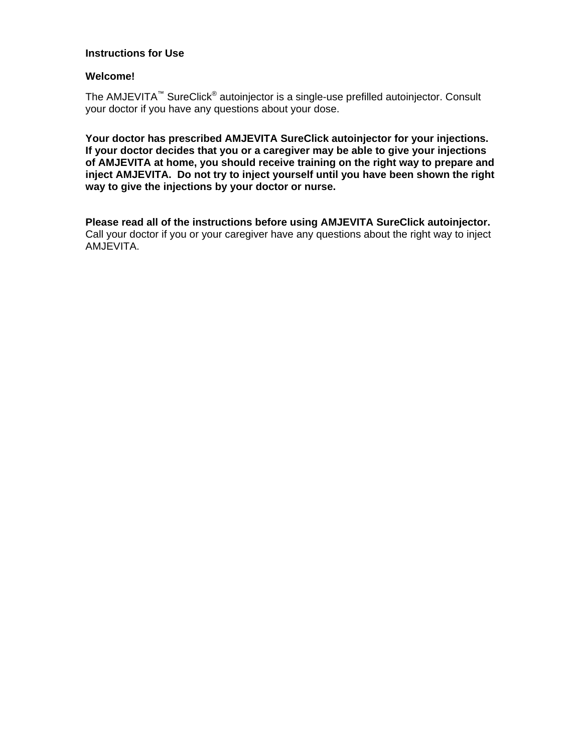## **Instructions for Use**

### **Welcome!**

The AMJEVITA™ SureClick<sup>®</sup> autoinjector is a single-use prefilled autoinjector. Consult your doctor if you have any questions about your dose.

**Your doctor has prescribed AMJEVITA SureClick autoinjector for your injections. If your doctor decides that you or a caregiver may be able to give your injections of AMJEVITA at home, you should receive training on the right way to prepare and inject AMJEVITA. Do not try to inject yourself until you have been shown the right way to give the injections by your doctor or nurse.** 

**Please read all of the instructions before using AMJEVITA SureClick autoinjector.**  Call your doctor if you or your caregiver have any questions about the right way to inject AMJEVITA.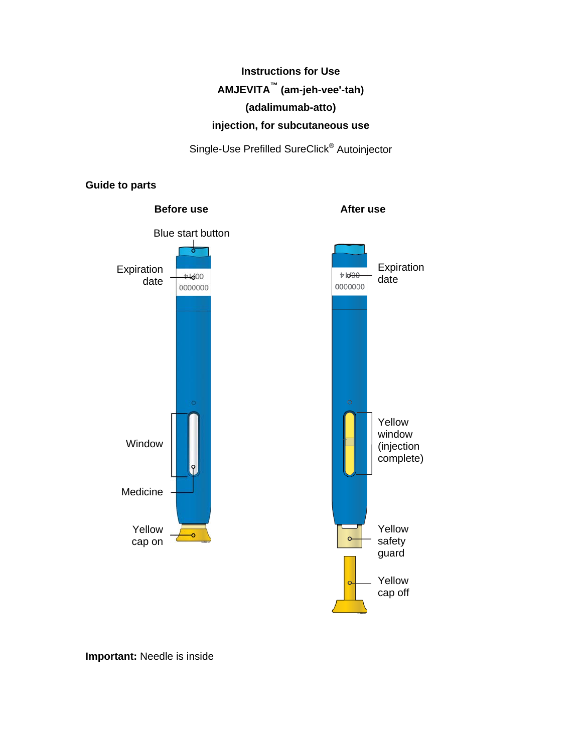**Instructions for Use AMJEVITA™ (am-jeh-vee'-tah) (adalimumab-atto) injection, for subcutaneous use** 

Single-Use Prefilled SureClick® Autoinjector

**Guide to parts** 



**Important:** Needle is inside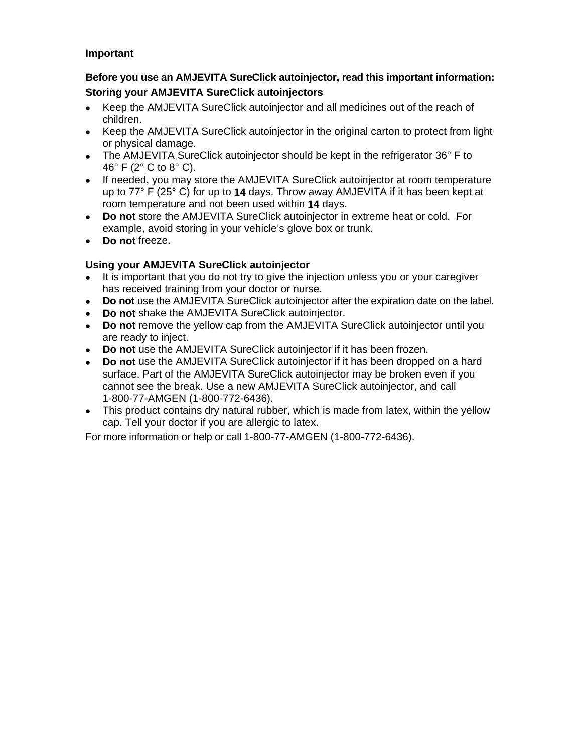# **Important**

# **Before you use an AMJEVITA SureClick autoinjector, read this important information: Storing your AMJEVITA SureClick autoinjectors**

- Keep the AMJEVITA SureClick autoinjector and all medicines out of the reach of children.
- Keep the AMJEVITA SureClick autoinjector in the original carton to protect from light or physical damage.
- The AMJEVITA SureClick autoinjector should be kept in the refrigerator 36° F to 46° F (2° C to 8° C).
- If needed, you may store the AMJEVITA SureClick autoiniector at room temperature up to 77° F (25° C) for up to **14** days. Throw away AMJEVITA if it has been kept at room temperature and not been used within **14** days.
- **Do not** store the AMJEVITA SureClick autoinjector in extreme heat or cold. For example, avoid storing in your vehicle's glove box or trunk.
- **Do not** freeze.

# **Using your AMJEVITA SureClick autoinjector**

- It is important that you do not try to give the injection unless you or your caregiver has received training from your doctor or nurse.
- **Do not** use the AMJEVITA SureClick autoinjector after the expiration date on the label.
- **Do not** shake the AMJEVITA SureClick autoinjector.
- **Do not** remove the yellow cap from the AMJEVITA SureClick autoinjector until you are ready to inject.
- **Do not** use the AMJEVITA SureClick autoinjector if it has been frozen.
- **Do not** use the AMJEVITA SureClick autoinjector if it has been dropped on a hard surface. Part of the AMJEVITA SureClick autoinjector may be broken even if you cannot see the break. Use a new AMJEVITA SureClick autoinjector, and call 1-800-77-AMGEN (1-800-772-6436).
- This product contains dry natural rubber, which is made from latex, within the yellow cap. Tell your doctor if you are allergic to latex.

For more information or help or call 1-800-77-AMGEN (1-800-772-6436).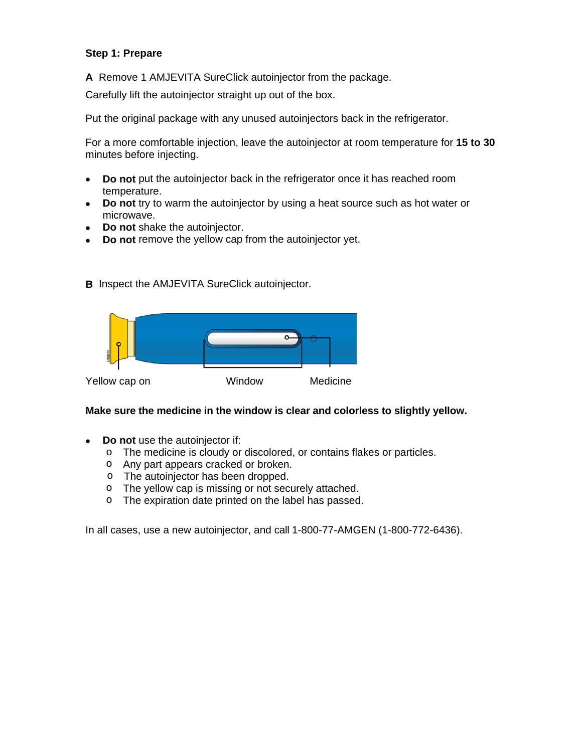# **Step 1: Prepare**

**A** Remove 1 AMJEVITA SureClick autoinjector from the package.

Carefully lift the autoinjector straight up out of the box.

Put the original package with any unused autoinjectors back in the refrigerator.

For a more comfortable injection, leave the autoinjector at room temperature for **15 to 30** minutes before injecting.

- **Do not** put the autoinjector back in the refrigerator once it has reached room temperature.
- **Do not** try to warm the autoinjector by using a heat source such as hot water or microwave.
- **Do not** shake the autoinjector.
- **Do not** remove the yellow cap from the autoinjector yet.

**B** Inspect the AMJEVITA SureClick autoinjector.



### **Make sure the medicine in the window is clear and colorless to slightly yellow.**

- **Do not** use the autoinjector if:
	- o The medicine is cloudy or discolored, or contains flakes or particles.
	- o Any part appears cracked or broken.
	- o The autoinjector has been dropped.
	- o The yellow cap is missing or not securely attached.
	- o The expiration date printed on the label has passed.

In all cases, use a new autoinjector, and call 1-800-77-AMGEN (1-800-772-6436).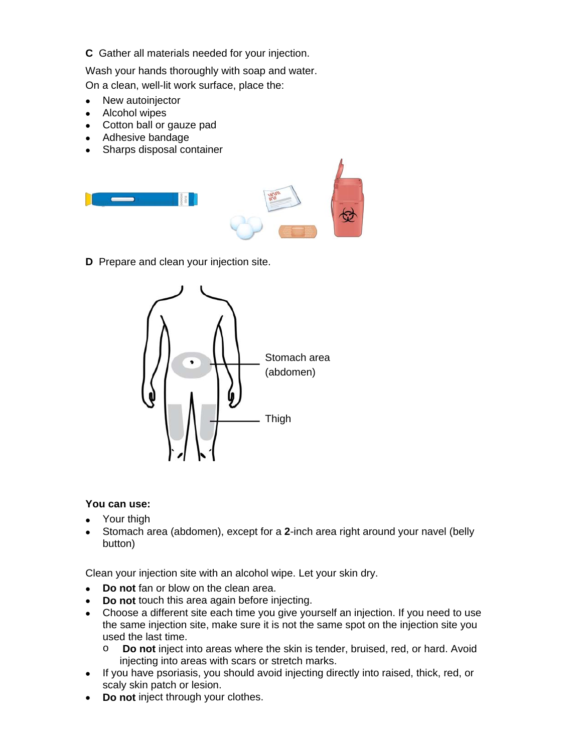**C** Gather all materials needed for your injection.

Wash your hands thoroughly with soap and water.

On a clean, well-lit work surface, place the:

- New autoinjector
- Alcohol wipes
- Cotton ball or gauze pad
- Adhesive bandage
- Sharps disposal container



**D** Prepare and clean your injection site.



# **You can use:**

- Your thigh
- Stomach area (abdomen), except for a **2**-inch area right around your navel (belly button)

Clean your injection site with an alcohol wipe. Let your skin dry.

- **Do not** fan or blow on the clean area.
- **Do not** touch this area again before injecting.
- Choose a different site each time you give yourself an injection. If you need to use the same injection site, make sure it is not the same spot on the injection site you used the last time.
	- o **Do not** inject into areas where the skin is tender, bruised, red, or hard. Avoid injecting into areas with scars or stretch marks.
- If you have psoriasis, you should avoid injecting directly into raised, thick, red, or scaly skin patch or lesion.
- **Do not** inject through your clothes.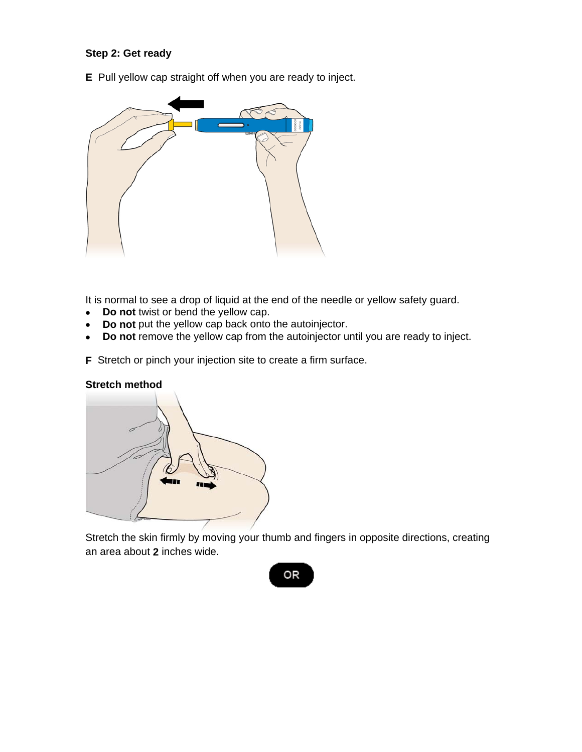# **Step 2: Get ready**

**E** Pull yellow cap straight off when you are ready to inject.



It is normal to see a drop of liquid at the end of the needle or yellow safety guard.

- **Do not** twist or bend the yellow cap.
- **Do not** put the yellow cap back onto the autoinjector.
- **Do not** remove the yellow cap from the autoinjector until you are ready to inject.

**F** Stretch or pinch your injection site to create a firm surface.

# **Stretch method**

Stretch the skin firmly by moving your thumb and fingers in opposite directions, creating an area about **2** inches wide.

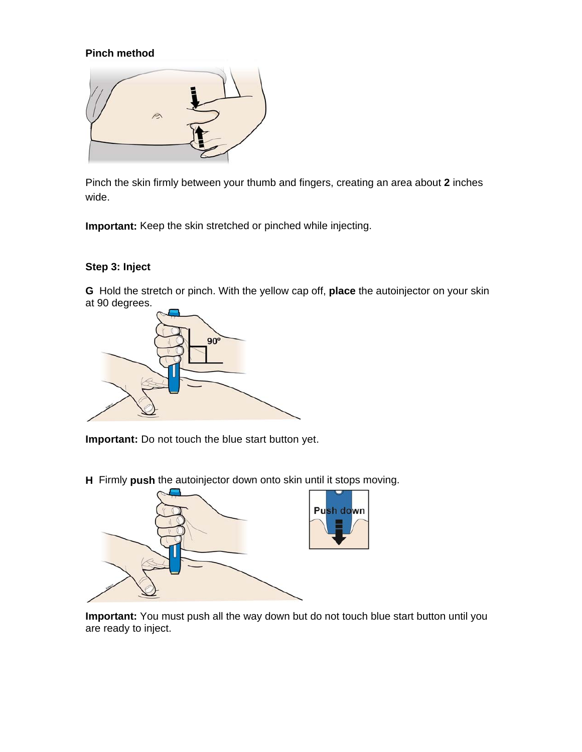# **Pinch method**



Pinch the skin firmly between your thumb and fingers, creating an area about **2** inches wide.

**Important:** Keep the skin stretched or pinched while injecting.

# **Step 3: Inject**

**G** Hold the stretch or pinch. With the yellow cap off, **place** the autoinjector on your skin at 90 degrees.



**Important:** Do not touch the blue start button yet.

**H** Firmly **push** the autoinjector down onto skin until it stops moving.



**Important:** You must push all the way down but do not touch blue start button until you are ready to inject.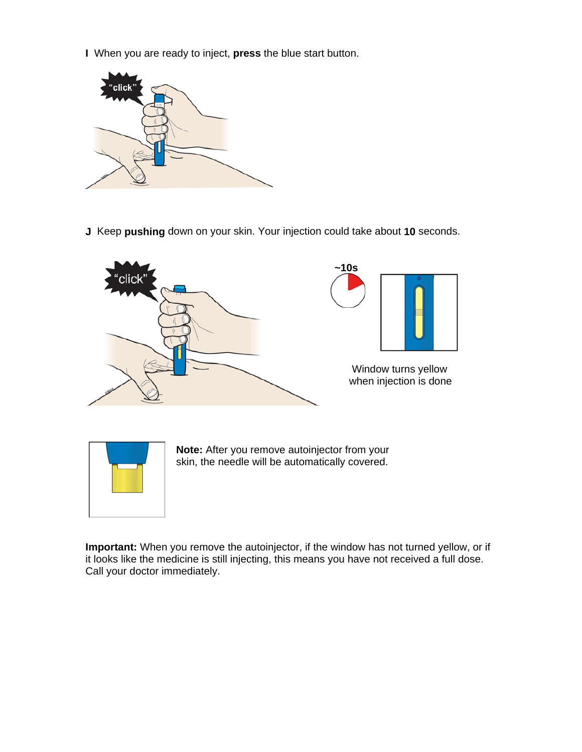**I** When you are ready to inject, **press** the blue start button.



**J** Keep **pushing** down on your skin. Your injection could take about **10** seconds.





**Note:** After you remove autoinjector from your skin, the needle will be automatically covered.

**Important:** When you remove the autoinjector, if the window has not turned yellow, or if it looks like the medicine is still injecting, this means you have not received a full dose. Call your doctor immediately.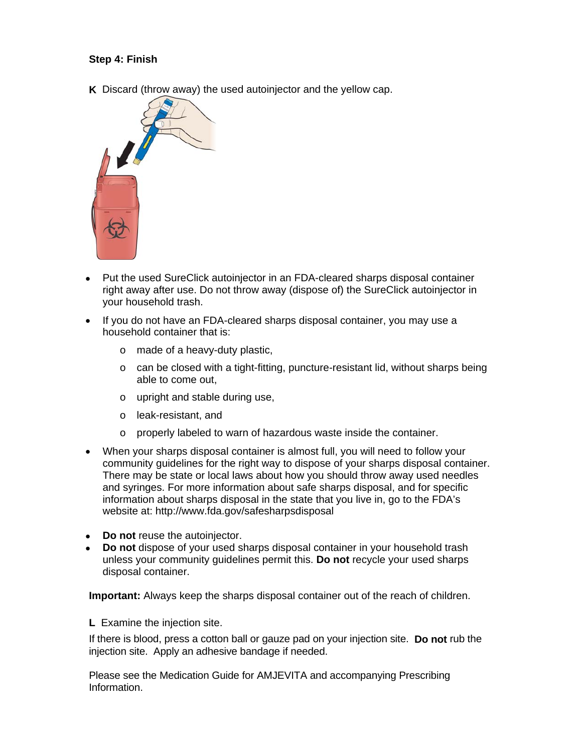# **Step 4: Finish**

**K** Discard (throw away) the used autoinjector and the yellow cap.



- Put the used SureClick autoinjector in an FDA-cleared sharps disposal container right away after use. Do not throw away (dispose of) the SureClick autoinjector in your household trash.
- If you do not have an FDA-cleared sharps disposal container, you may use a household container that is:
	- o made of a heavy-duty plastic,
	- $\circ$  can be closed with a tight-fitting, puncture-resistant lid, without sharps being able to come out,
	- o upright and stable during use,
	- o leak-resistant, and
	- o properly labeled to warn of hazardous waste inside the container.
- When your sharps disposal container is almost full, you will need to follow your community guidelines for the right way to dispose of your sharps disposal container. There may be state or local laws about how you should throw away used needles and syringes. For more information about safe sharps disposal, and for specific information about sharps disposal in the state that you live in, go to the FDA's website at: http://www.fda.gov/safesharpsdisposal
- **Do not** reuse the autoinjector.
- **Do not** dispose of your used sharps disposal container in your household trash unless your community guidelines permit this. **Do not** recycle your used sharps disposal container.

**Important:** Always keep the sharps disposal container out of the reach of children.

**L** Examine the injection site.

If there is blood, press a cotton ball or gauze pad on your injection site. **Do not** rub the injection site.Apply an adhesive bandage if needed.

Please see the Medication Guide for AMJEVITA and accompanying Prescribing Information.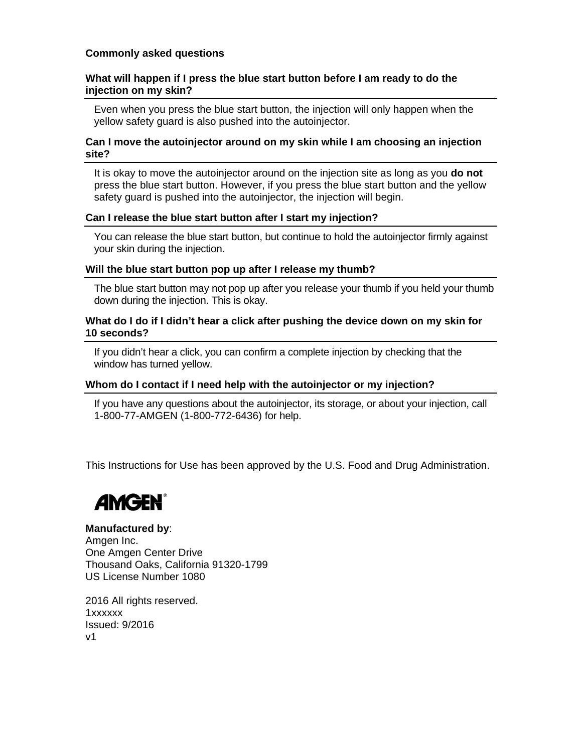### **Commonly asked questions**

### **What will happen if I press the blue start button before I am ready to do the injection on my skin?**

Even when you press the blue start button, the injection will only happen when the yellow safety guard is also pushed into the autoinjector.

### **Can I move the autoinjector around on my skin while I am choosing an injection site?**

It is okay to move the autoinjector around on the injection site as long as you **do not** press the blue start button. However, if you press the blue start button and the yellow safety guard is pushed into the autoinjector, the injection will begin.

### **Can I release the blue start button after I start my injection?**

You can release the blue start button, but continue to hold the autoinjector firmly against your skin during the injection.

### **Will the blue start button pop up after I release my thumb?**

The blue start button may not pop up after you release your thumb if you held your thumb down during the injection. This is okay.

### **What do I do if I didn't hear a click after pushing the device down on my skin for 10 seconds?**

If you didn't hear a click, you can confirm a complete injection by checking that the window has turned yellow.

### **Whom do I contact if I need help with the autoinjector or my injection?**

If you have any questions about the autoinjector, its storage, or about your injection, call 1-800-77-AMGEN (1-800-772-6436) for help.

This Instructions for Use has been approved by the U.S. Food and Drug Administration.



### **Manufactured by**:

Amgen Inc. One Amgen Center Drive Thousand Oaks, California 91320-1799 US License Number 1080

2016 All rights reserved. 1xxxxxx Issued: 9/2016 v1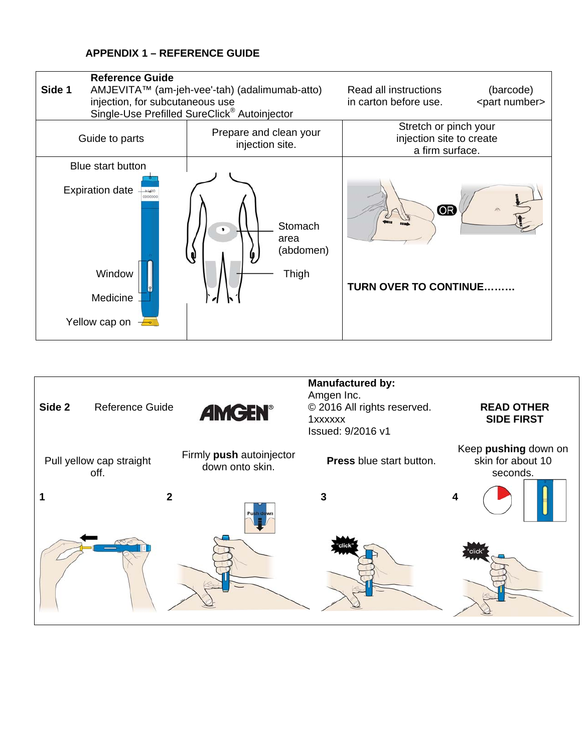# **APPENDIX 1 – REFERENCE GUIDE**



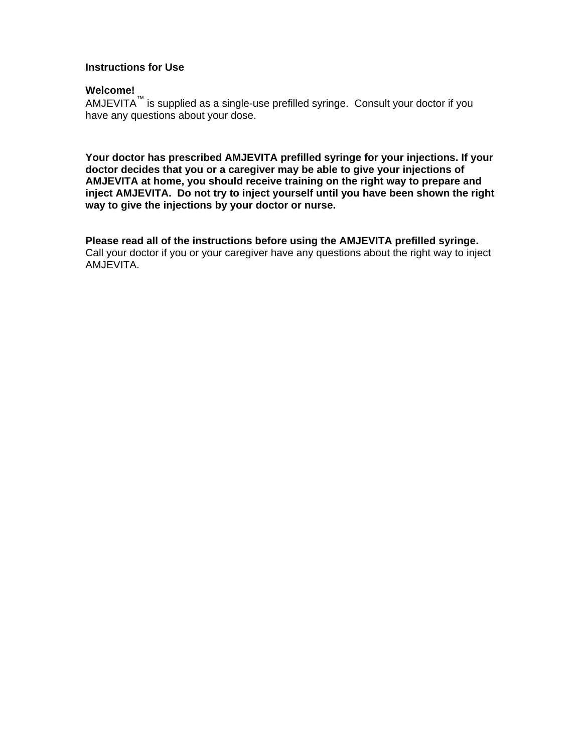### **Instructions for Use**

### **Welcome!**

AMJEVITA™ is supplied as a single-use prefilled syringe. Consult your doctor if you have any questions about your dose.

**Your doctor has prescribed AMJEVITA prefilled syringe for your injections. If your doctor decides that you or a caregiver may be able to give your injections of AMJEVITA at home, you should receive training on the right way to prepare and inject AMJEVITA. Do not try to inject yourself until you have been shown the right way to give the injections by your doctor or nurse.** 

**Please read all of the instructions before using the AMJEVITA prefilled syringe.**  Call your doctor if you or your caregiver have any questions about the right way to inject AMJEVITA.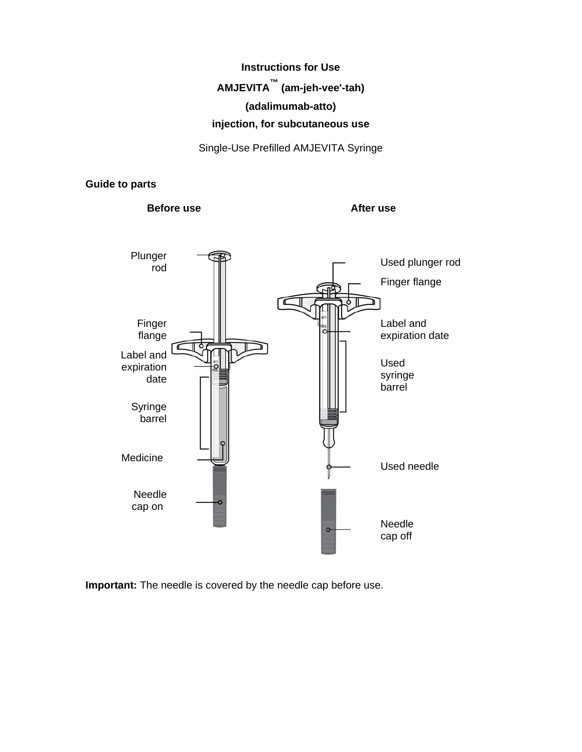# **Instructions for Use AMJEVITA™ (am-jeh-vee'-tah) (adalimumab-atto) injection, for subcutaneous use**

Single-Use Prefilled AMJEVITA Syringe

## **Guide to parts**



**Important:** The needle is covered by the needle cap before use.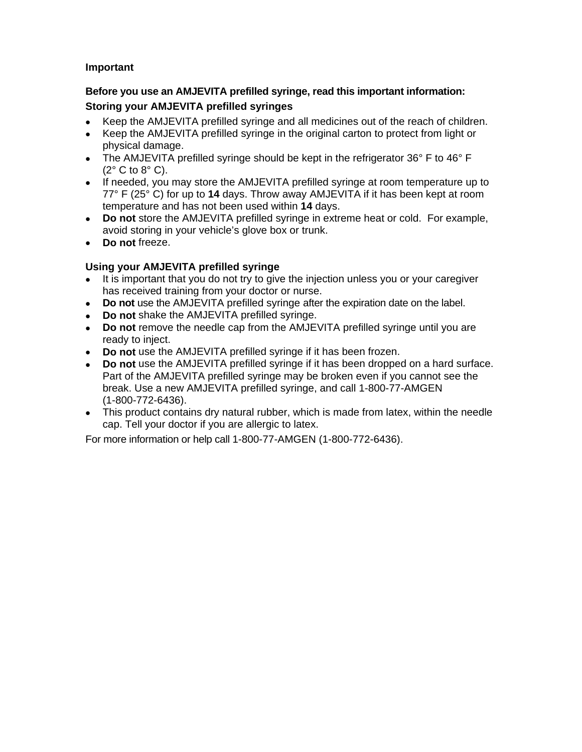# **Important**

# **Before you use an AMJEVITA prefilled syringe, read this important information: Storing your AMJEVITA prefilled syringes**

- Keep the AMJEVITA prefilled syringe and all medicines out of the reach of children.
- Keep the AMJEVITA prefilled syringe in the original carton to protect from light or physical damage.
- The AMJEVITA prefilled syringe should be kept in the refrigerator  $36^{\circ}$  F to  $46^{\circ}$  F  $(2^{\circ} \text{C to } 8^{\circ} \text{C}).$
- If needed, you may store the AMJEVITA prefilled syringe at room temperature up to 77° F (25° C) for up to **14** days. Throw away AMJEVITA if it has been kept at room temperature and has not been used within **14** days.
- **Do not** store the AMJEVITA prefilled syringe in extreme heat or cold. For example, avoid storing in your vehicle's glove box or trunk.
- **Do not** freeze.

# **Using your AMJEVITA prefilled syringe**

- It is important that you do not try to give the injection unless you or your caregiver has received training from your doctor or nurse.
- **Do not** use the AMJEVITA prefilled syringe after the expiration date on the label.
- **Do not** shake the AMJEVITA prefilled syringe.
- **Do not** remove the needle cap from the AMJEVITA prefilled syringe until you are ready to inject.
- **Do not** use the AMJEVITA prefilled syringe if it has been frozen.
- **Do not** use the AMJEVITA prefilled syringe if it has been dropped on a hard surface. Part of the AMJEVITA prefilled syringe may be broken even if you cannot see the break. Use a new AMJEVITA prefilled syringe, and call 1-800-77-AMGEN (1-800-772-6436).
- This product contains dry natural rubber, which is made from latex, within the needle cap. Tell your doctor if you are allergic to latex.

For more information or help call 1-800-77-AMGEN (1-800-772-6436).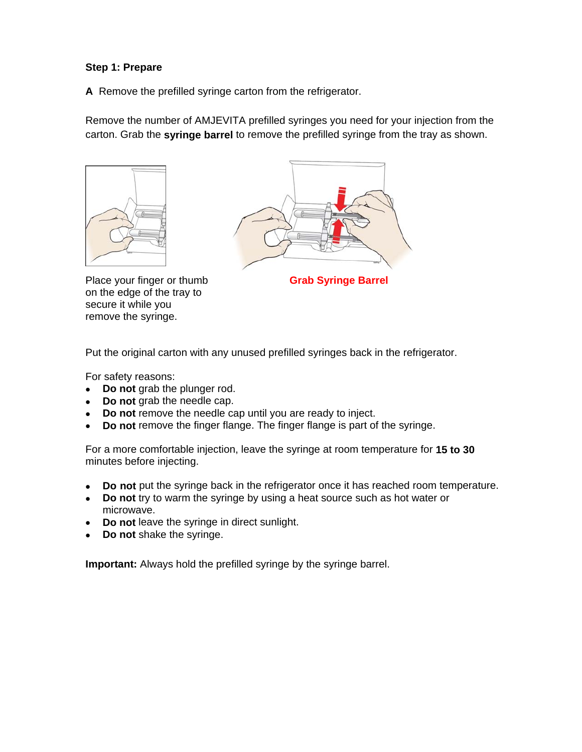# **Step 1: Prepare**

**A** Remove the prefilled syringe carton from the refrigerator.

Remove the number of AMJEVITA prefilled syringes you need for your injection from the carton. Grab the **syringe barrel** to remove the prefilled syringe from the tray as shown.





 **Grab Syringe Barrel** 

Place your finger or thumb on the edge of the tray to secure it while you remove the syringe.

Put the original carton with any unused prefilled syringes back in the refrigerator.

For safety reasons:

- **Do not** grab the plunger rod.
- **Do not** grab the needle cap.
- **Do not** remove the needle cap until you are ready to inject.
- **Do not** remove the finger flange. The finger flange is part of the syringe.

For a more comfortable injection, leave the syringe at room temperature for **15 to 30** minutes before injecting.

- **Do not** put the syringe back in the refrigerator once it has reached room temperature.
- **Do not** try to warm the syringe by using a heat source such as hot water or microwave.
- **Do not** leave the syringe in direct sunlight.
- **Do not** shake the syringe.

**Important:** Always hold the prefilled syringe by the syringe barrel.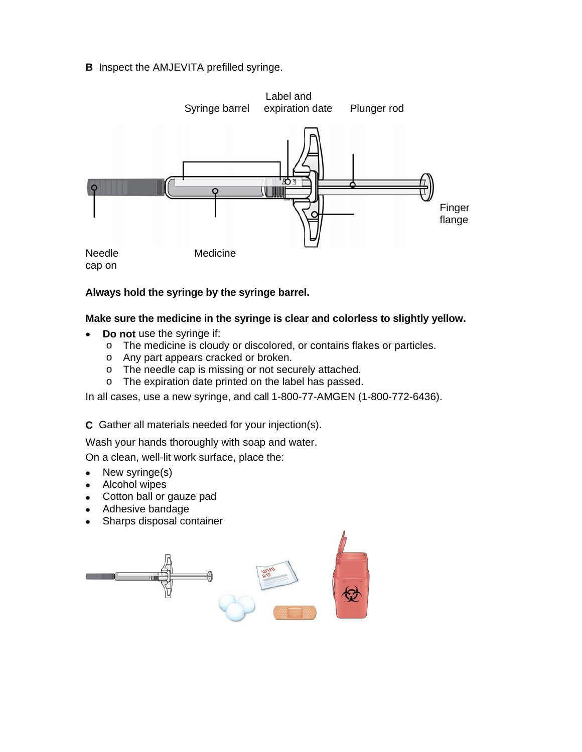# **B** Inspect the AMJEVITA prefilled syringe.



# **Always hold the syringe by the syringe barrel.**

# **Make sure the medicine in the syringe is clear and colorless to slightly yellow.**

- **Do not** use the syringe if:
	- o The medicine is cloudy or discolored, or contains flakes or particles.
	- o Any part appears cracked or broken.
	- o The needle cap is missing or not securely attached.
	- o The expiration date printed on the label has passed.

In all cases, use a new syringe, and call 1-800-77-AMGEN (1-800-772-6436).

**C** Gather all materials needed for your injection(s).

Wash your hands thoroughly with soap and water.

On a clean, well-lit work surface, place the:

- New syringe(s)
- Alcohol wipes
- Cotton ball or gauze pad
- Adhesive bandage
- Sharps disposal container

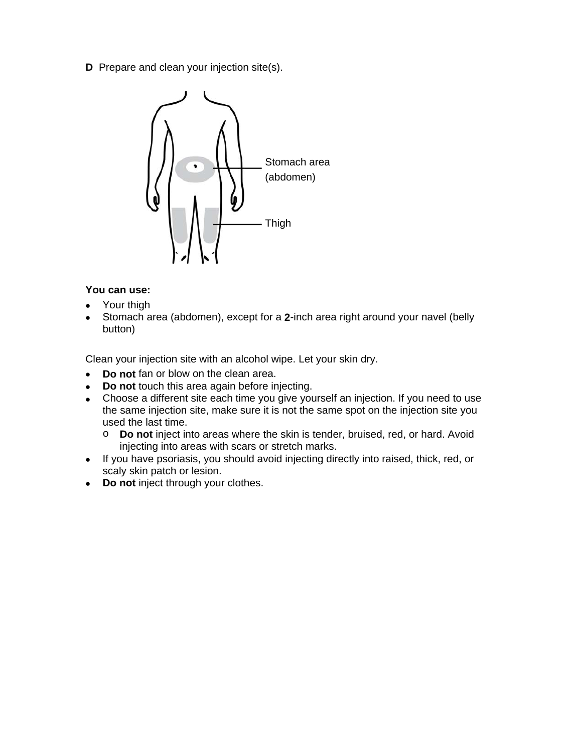**D** Prepare and clean your injection site(s).



# **You can use:**

- Your thigh
- Stomach area (abdomen), except for a **2**-inch area right around your navel (belly button)

Clean your injection site with an alcohol wipe. Let your skin dry.

- **Do not** fan or blow on the clean area.
- **Do not** touch this area again before injecting.
- Choose a different site each time you give yourself an injection. If you need to use the same injection site, make sure it is not the same spot on the injection site you used the last time.
	- o **Do not** inject into areas where the skin is tender, bruised, red, or hard. Avoid injecting into areas with scars or stretch marks.
- If you have psoriasis, you should avoid injecting directly into raised, thick, red, or scaly skin patch or lesion.
- **Do not** inject through your clothes.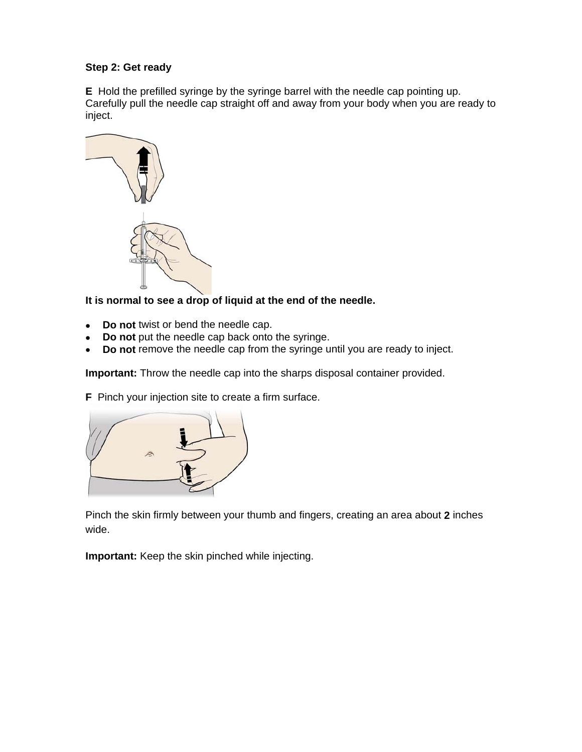# **Step 2: Get ready**

**E** Hold the prefilled syringe by the syringe barrel with the needle cap pointing up. Carefully pull the needle cap straight off and away from your body when you are ready to inject.



# **It is normal to see a drop of liquid at the end of the needle.**

- **Do not** twist or bend the needle cap.
- **Do not** put the needle cap back onto the syringe.
- **Do not** remove the needle cap from the syringe until you are ready to inject.

**Important:** Throw the needle cap into the sharps disposal container provided.

**F** Pinch your injection site to create a firm surface.



Pinch the skin firmly between your thumb and fingers, creating an area about **2** inches wide.

**Important:** Keep the skin pinched while injecting.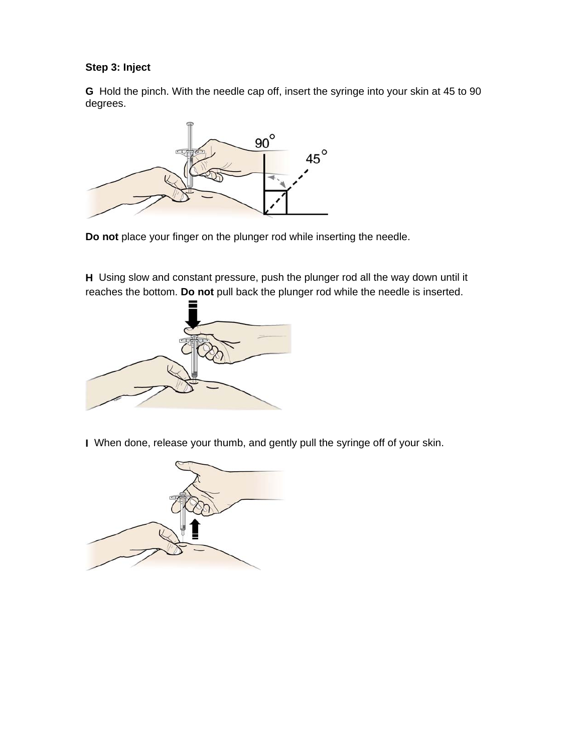# **Step 3: Inject**

**G** Hold the pinch. With the needle cap off, insert the syringe into your skin at 45 to 90 degrees.



**Do not** place your finger on the plunger rod while inserting the needle.

**H** Using slow and constant pressure, push the plunger rod all the way down until it reaches the bottom. **Do not** pull back the plunger rod while the needle is inserted.



**I** When done, release your thumb, and gently pull the syringe off of your skin.

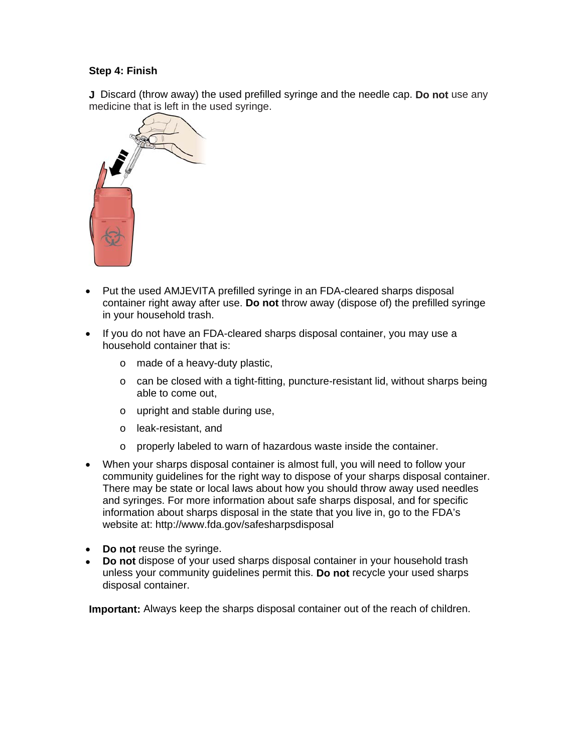# **Step 4: Finish**

**J** Discard (throw away) the used prefilled syringe and the needle cap. **Do not** use any medicine that is left in the used syringe.



- Put the used AMJEVITA prefilled syringe in an FDA-cleared sharps disposal container right away after use. **Do not** throw away (dispose of) the prefilled syringe in your household trash.
- If you do not have an FDA-cleared sharps disposal container, you may use a household container that is:
	- o made of a heavy-duty plastic,
	- o can be closed with a tight-fitting, puncture-resistant lid, without sharps being able to come out,
	- o upright and stable during use,
	- o leak-resistant, and
	- o properly labeled to warn of hazardous waste inside the container.
- When your sharps disposal container is almost full, you will need to follow your community guidelines for the right way to dispose of your sharps disposal container. There may be state or local laws about how you should throw away used needles and syringes. For more information about safe sharps disposal, and for specific information about sharps disposal in the state that you live in, go to the FDA's website at: http://www.fda.gov/safesharpsdisposal
- **Do not** reuse the syringe.
- **Do not** dispose of your used sharps disposal container in your household trash unless your community guidelines permit this. **Do not** recycle your used sharps disposal container.

**Important:** Always keep the sharps disposal container out of the reach of children.